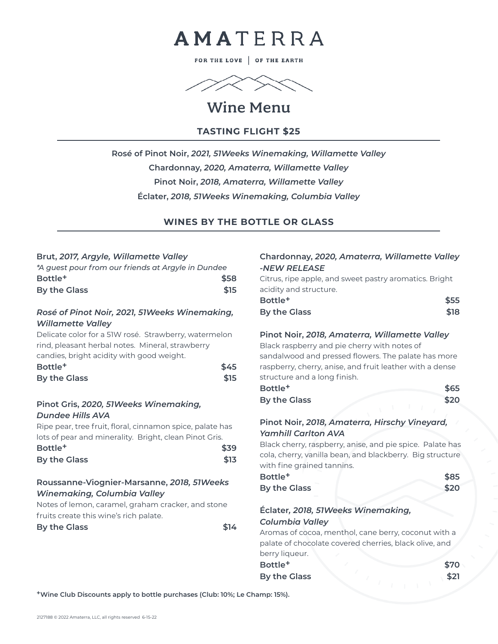

FOR THE LOVE | OF THE EARTH



# Wine Menu

#### **TASTING FLIGHT \$25**

**Rosé of Pinot Noir,** *2021, 51Weeks Winemaking, Willamette Valley* **Chardonnay,** *2020, Amaterra, Willamette Valley* **Pinot Noir,** *2018, Amaterra, Willamette Valley* **Éclater,** *2018, 51Weeks Winemaking, Columbia Valley*

#### **WINES BY THE BOTTLE OR GLASS**

#### **Brut,** *2017, Argyle, Willamette Valley*

| *A guest pour from our friends at Argyle in Dundee    |      |  |
|-------------------------------------------------------|------|--|
| Bottle <sup>+</sup>                                   | \$58 |  |
| By the Glass                                          | \$15 |  |
|                                                       |      |  |
| Rosé of Pinot Noir, 2021, 51 Weeks Winemaking,        |      |  |
| <b>Willamette Valley</b>                              |      |  |
| Delicate color for a 51W rosé. Strawberry, watermelon |      |  |
| rind, pleasant herbal notes. Mineral, strawberry      |      |  |
|                                                       |      |  |

| candies, bright acidity with good weight. |      |
|-------------------------------------------|------|
| Bottle <sup>+</sup>                       | \$45 |
| By the Glass                              | \$15 |

#### **Pinot Gris,** *2020, 51Weeks Winemaking, Dundee Hills AVA*

Ripe pear, tree fruit, floral, cinnamon spice, palate has lots of pear and minerality. Bright, clean Pinot Gris.

| Bottle <sup>+</sup> | \$39 |
|---------------------|------|
| By the Glass        | \$13 |

#### **Roussanne-Viognier-Marsanne,** *2018, 51Weeks Winemaking, Columbia Valley*

Notes of lemon, caramel, graham cracker, and stone fruits create this wine's rich palate.

| By the Glass | \$14 |
|--------------|------|
|              |      |

#### **Chardonnay,** *2020, Amaterra, Willamette Valley -NEW RELEASE*

Citrus, ripe apple, and sweet pastry aromatics. Bright acidity and structure.

| Bottle <sup>+</sup> | \$55 |
|---------------------|------|
| By the Glass        | \$18 |

#### **Pinot Noir,** *2018, Amaterra, Willamette Valley*

Black raspberry and pie cherry with notes of sandalwood and pressed flowers. The palate has more raspberry, cherry, anise, and fruit leather with a dense structure and a long finish.

| Bottle <sup>+</sup> | \$65 |
|---------------------|------|
| By the Glass        | \$20 |

#### **Pinot Noir,** *2018, Amaterra, Hirschy Vineyard, Yamhill Carlton AVA*

Black cherry, raspberry, anise, and pie spice. Palate has cola, cherry, vanilla bean, and blackberry. Big structure with fine grained tannins.

| Bottle <sup>+</sup> | \$85 |
|---------------------|------|
| <b>By the Glass</b> | \$20 |

#### **Éclater***, 2018, 51Weeks Winemaking, Columbia Valley*

Aromas of cocoa, menthol, cane berry, coconut with a palate of chocolate covered cherries, black olive, and berry liqueur.

**Bottle+ \$70 By the Glass** \$21

**+Wine Club Discounts apply to bottle purchases (Club: 10%; Le Champ: 15%).**